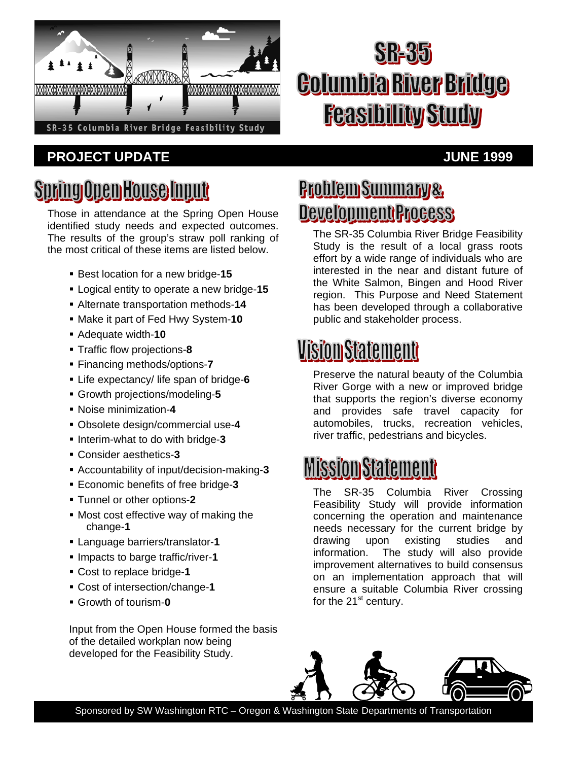

#### **PROJECT UPDATE** *PROJECT UPDATE*

# **SR-35 Columbia River Bridge Feasibility Study**

## <u>Spring Open House Input</u>

Those in attendance at the Spring Open House identified study needs and expected outcomes. The results of the group's straw poll ranking of the most critical of these items are listed below.

- Best location for a new bridge-**15**
- Logical entity to operate a new bridge-**15**
- Alternate transportation methods-**14**
- Make it part of Fed Hwy System-**10**
- Adequate width-**10**
- Traffic flow projections-**8**
- Financing methods/options-**7**
- Life expectancy/ life span of bridge-**6**
- Growth projections/modeling-**5**
- Noise minimization-**4**
- Obsolete design/commercial use-**4**
- **Interim-what to do with bridge-3**
- Consider aesthetics-**3**
- Accountability of input/decision-making-**3**
- Economic benefits of free bridge-**3**
- Tunnel or other options-**2**
- Most cost effective way of making the change-**1**
- Language barriers/translator-**1**
- Impacts to barge traffic/river-**1**
- Cost to replace bridge-**1**
- Cost of intersection/change-**1**
- Growth of tourism-**0**

Input from the Open House formed the basis of the detailed workplan now being developed for the Feasibility Study.

#### **Problem Summary & Development Process**

The SR-35 Columbia River Bridge Feasibility Study is the result of a local grass roots effort by a wide range of individuals who are interested in the near and distant future of the White Salmon, Bingen and Hood River region. This Purpose and Need Statement has been developed through a collaborative public and stakeholder process.

#### **Vision Statement**

Preserve the natural beauty of the Columbia River Gorge with a new or improved bridge that supports the region's diverse economy and provides safe travel capacity for automobiles, trucks, recreation vehicles, river traffic, pedestrians and bicycles.

## **MissiomStatement**

The SR-35 Columbia River Crossing Feasibility Study will provide information concerning the operation and maintenance needs necessary for the current bridge by drawing upon existing studies and information. The study will also provide improvement alternatives to build consensus on an implementation approach that will ensure a suitable Columbia River crossing for the  $21<sup>st</sup>$  century.



Sponsored by SW Washington RTC – Oregon & Washington State Departments of Transportation